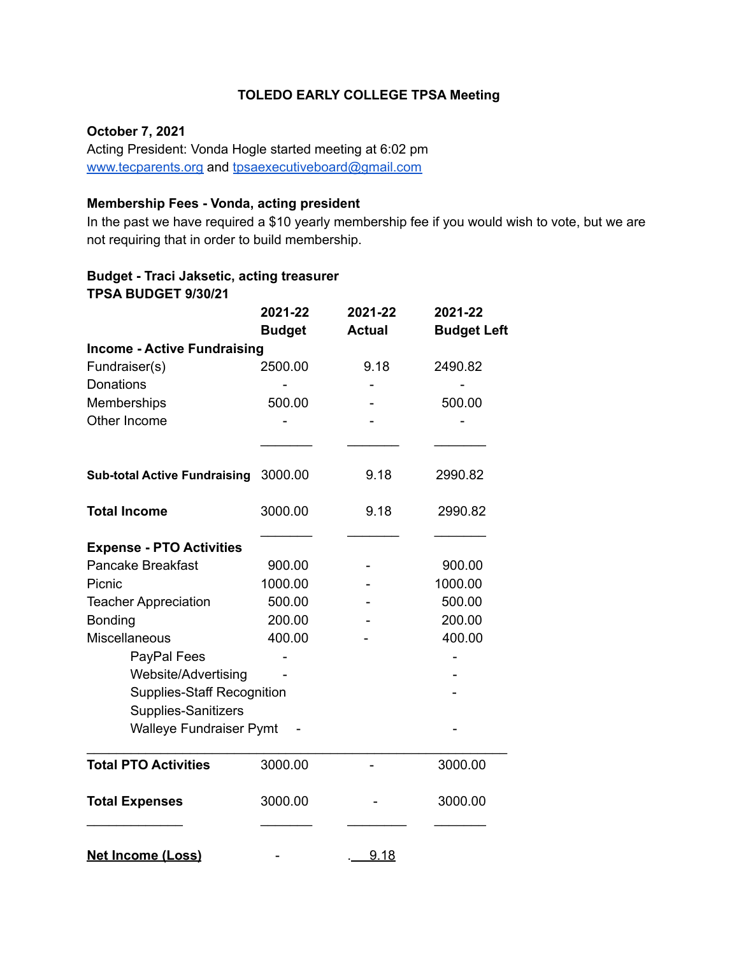# **TOLEDO EARLY COLLEGE TPSA Meeting**

#### **October 7, 2021**

Acting President: Vonda Hogle started meeting at 6:02 pm [www.tecparents.org](http://www.tecpartents.org) and [tpsaexecutiveboard@gmail.com](mailto:tpsaexeutiveboard@gmail.com)

## **Membership Fees - Vonda, acting president**

In the past we have required a \$10 yearly membership fee if you would wish to vote, but we are not requiring that in order to build membership.

#### **Budget - Traci Jaksetic, acting treasurer TPSA BUDGET 9/30/21**

|                                                                            | 2021-22<br><b>Budget</b> | 2021-22<br><b>Actual</b> | 2021-22<br><b>Budget Left</b> |
|----------------------------------------------------------------------------|--------------------------|--------------------------|-------------------------------|
| <b>Income - Active Fundraising</b>                                         |                          |                          |                               |
| Fundraiser(s)                                                              | 2500.00                  | 9.18                     | 2490.82                       |
| <b>Donations</b>                                                           |                          |                          |                               |
| Memberships                                                                | 500.00                   |                          | 500.00                        |
| Other Income<br><b>Sub-total Active Fundraising</b><br><b>Total Income</b> |                          |                          |                               |
|                                                                            | 3000.00<br>3000.00       | 9.18<br>9.18             | 2990.82<br>2990.82            |
|                                                                            |                          |                          |                               |
| <b>Pancake Breakfast</b>                                                   | 900.00                   |                          | 900.00                        |
| Picnic                                                                     | 1000.00                  |                          | 1000.00                       |
| <b>Teacher Appreciation</b>                                                | 500.00                   |                          | 500.00                        |
| Bonding                                                                    | 200.00                   |                          | 200.00                        |
| Miscellaneous                                                              | 400.00                   |                          | 400.00                        |
| PayPal Fees                                                                |                          |                          |                               |
| Website/Advertising                                                        |                          |                          |                               |
| <b>Supplies-Staff Recognition</b>                                          |                          |                          |                               |
| Supplies-Sanitizers                                                        |                          |                          |                               |
| <b>Walleye Fundraiser Pymt</b>                                             |                          |                          |                               |
| <b>Total PTO Activities</b>                                                | 3000.00                  |                          | 3000.00                       |
| <b>Total Expenses</b>                                                      | 3000.00                  |                          | 3000.00                       |
| <b>Net Income (Loss)</b>                                                   |                          | 9.18                     |                               |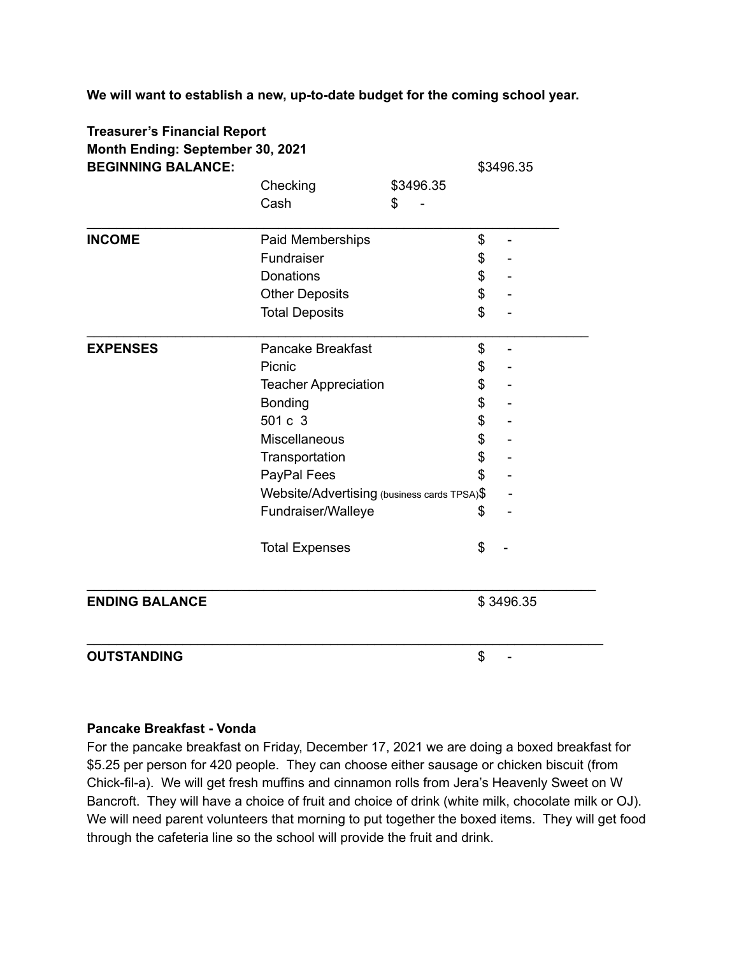**We will want to establish a new, up-to-date budget for the coming school year.**

| <b>Treasurer's Financial Report</b><br>Month Ending: September 30, 2021 |                                             |           |    |                              |  |  |
|-------------------------------------------------------------------------|---------------------------------------------|-----------|----|------------------------------|--|--|
| <b>BEGINNING BALANCE:</b>                                               |                                             |           |    | \$3496.35                    |  |  |
|                                                                         | Checking                                    | \$3496.35 |    |                              |  |  |
|                                                                         | Cash                                        | \$        |    |                              |  |  |
| <b>INCOME</b>                                                           | Paid Memberships                            |           | \$ | $\qquad \qquad \blacksquare$ |  |  |
|                                                                         | Fundraiser                                  |           | \$ |                              |  |  |
|                                                                         | <b>Donations</b>                            |           | \$ |                              |  |  |
|                                                                         | <b>Other Deposits</b>                       |           | \$ |                              |  |  |
|                                                                         | <b>Total Deposits</b>                       |           | \$ |                              |  |  |
| <b>EXPENSES</b>                                                         | <b>Pancake Breakfast</b>                    |           | \$ |                              |  |  |
|                                                                         | Picnic                                      |           | \$ |                              |  |  |
|                                                                         | <b>Teacher Appreciation</b>                 |           | \$ |                              |  |  |
|                                                                         | Bonding                                     |           | \$ |                              |  |  |
|                                                                         | 501 c 3                                     |           | \$ |                              |  |  |
|                                                                         | Miscellaneous                               |           | \$ |                              |  |  |
|                                                                         | Transportation                              |           | \$ |                              |  |  |
|                                                                         | PayPal Fees                                 |           | \$ |                              |  |  |
|                                                                         | Website/Advertising (business cards TPSA)\$ |           |    |                              |  |  |
|                                                                         | Fundraiser/Walleye                          |           | \$ |                              |  |  |
|                                                                         | <b>Total Expenses</b>                       |           | \$ |                              |  |  |
| <b>ENDING BALANCE</b>                                                   |                                             |           |    | \$3496.35                    |  |  |
| <b>OUTSTANDING</b>                                                      |                                             |           | \$ |                              |  |  |

#### **Pancake Breakfast - Vonda**

For the pancake breakfast on Friday, December 17, 2021 we are doing a boxed breakfast for \$5.25 per person for 420 people. They can choose either sausage or chicken biscuit (from Chick-fil-a). We will get fresh muffins and cinnamon rolls from Jera's Heavenly Sweet on W Bancroft. They will have a choice of fruit and choice of drink (white milk, chocolate milk or OJ). We will need parent volunteers that morning to put together the boxed items. They will get food through the cafeteria line so the school will provide the fruit and drink.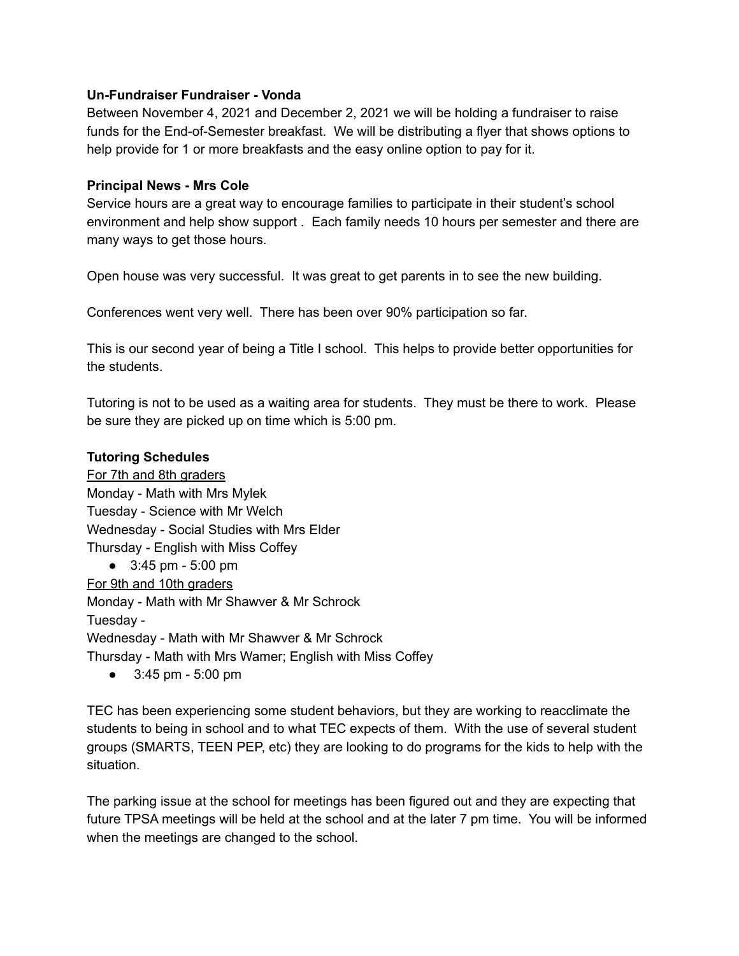### **Un-Fundraiser Fundraiser - Vonda**

Between November 4, 2021 and December 2, 2021 we will be holding a fundraiser to raise funds for the End-of-Semester breakfast. We will be distributing a flyer that shows options to help provide for 1 or more breakfasts and the easy online option to pay for it.

#### **Principal News - Mrs Cole**

Service hours are a great way to encourage families to participate in their student's school environment and help show support . Each family needs 10 hours per semester and there are many ways to get those hours.

Open house was very successful. It was great to get parents in to see the new building.

Conferences went very well. There has been over 90% participation so far.

This is our second year of being a Title I school. This helps to provide better opportunities for the students.

Tutoring is not to be used as a waiting area for students. They must be there to work. Please be sure they are picked up on time which is 5:00 pm.

#### **Tutoring Schedules**

For 7th and 8th graders Monday - Math with Mrs Mylek Tuesday - Science with Mr Welch Wednesday - Social Studies with Mrs Elder Thursday - English with Miss Coffey

● 3:45 pm - 5:00 pm For 9th and 10th graders Monday - Math with Mr Shawver & Mr Schrock Tuesday - Wednesday - Math with Mr Shawver & Mr Schrock Thursday - Math with Mrs Wamer; English with Miss Coffey

● 3:45 pm - 5:00 pm

TEC has been experiencing some student behaviors, but they are working to reacclimate the students to being in school and to what TEC expects of them. With the use of several student groups (SMARTS, TEEN PEP, etc) they are looking to do programs for the kids to help with the situation.

The parking issue at the school for meetings has been figured out and they are expecting that future TPSA meetings will be held at the school and at the later 7 pm time. You will be informed when the meetings are changed to the school.